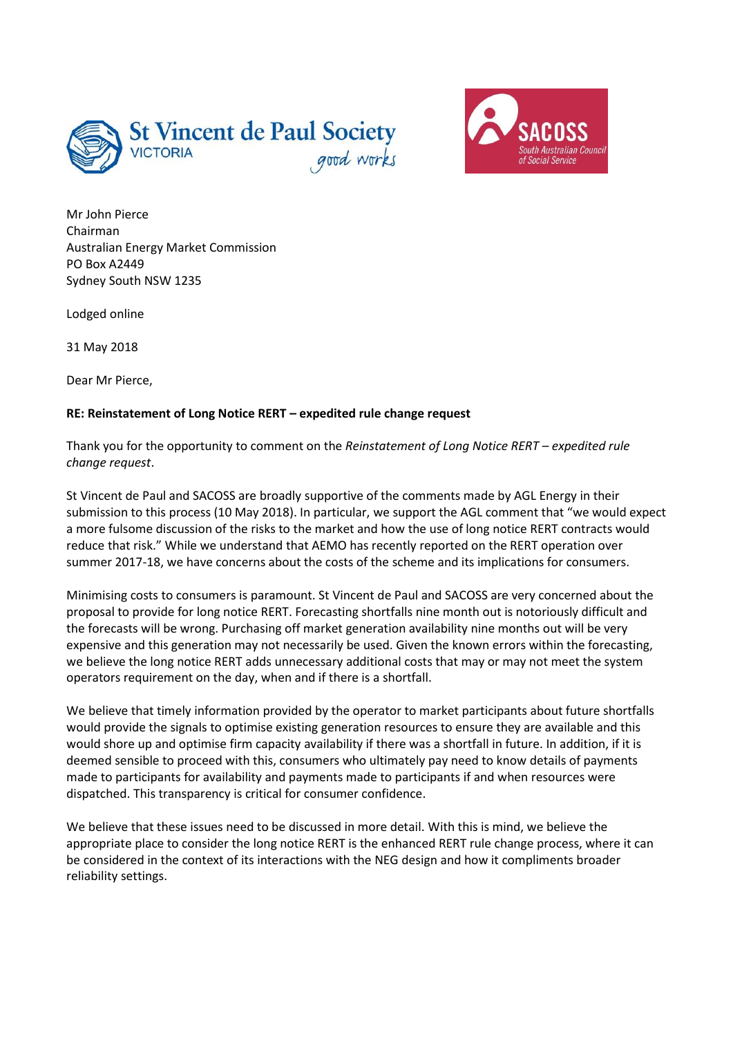



Mr John Pierce Chairman Australian Energy Market Commission PO Box A2449 Sydney South NSW 1235

Lodged online

31 May 2018

Dear Mr Pierce,

## **RE: Reinstatement of Long Notice RERT – expedited rule change request**

Thank you for the opportunity to comment on the *Reinstatement of Long Notice RERT – expedited rule change request*.

St Vincent de Paul and SACOSS are broadly supportive of the comments made by AGL Energy in their submission to this process (10 May 2018). In particular, we support the AGL comment that "we would expect a more fulsome discussion of the risks to the market and how the use of long notice RERT contracts would reduce that risk." While we understand that AEMO has recently reported on the RERT operation over summer 2017-18, we have concerns about the costs of the scheme and its implications for consumers.

Minimising costs to consumers is paramount. St Vincent de Paul and SACOSS are very concerned about the proposal to provide for long notice RERT. Forecasting shortfalls nine month out is notoriously difficult and the forecasts will be wrong. Purchasing off market generation availability nine months out will be very expensive and this generation may not necessarily be used. Given the known errors within the forecasting, we believe the long notice RERT adds unnecessary additional costs that may or may not meet the system operators requirement on the day, when and if there is a shortfall.

We believe that timely information provided by the operator to market participants about future shortfalls would provide the signals to optimise existing generation resources to ensure they are available and this would shore up and optimise firm capacity availability if there was a shortfall in future. In addition, if it is deemed sensible to proceed with this, consumers who ultimately pay need to know details of payments made to participants for availability and payments made to participants if and when resources were dispatched. This transparency is critical for consumer confidence.

We believe that these issues need to be discussed in more detail. With this is mind, we believe the appropriate place to consider the long notice RERT is the enhanced RERT rule change process, where it can be considered in the context of its interactions with the NEG design and how it compliments broader reliability settings.